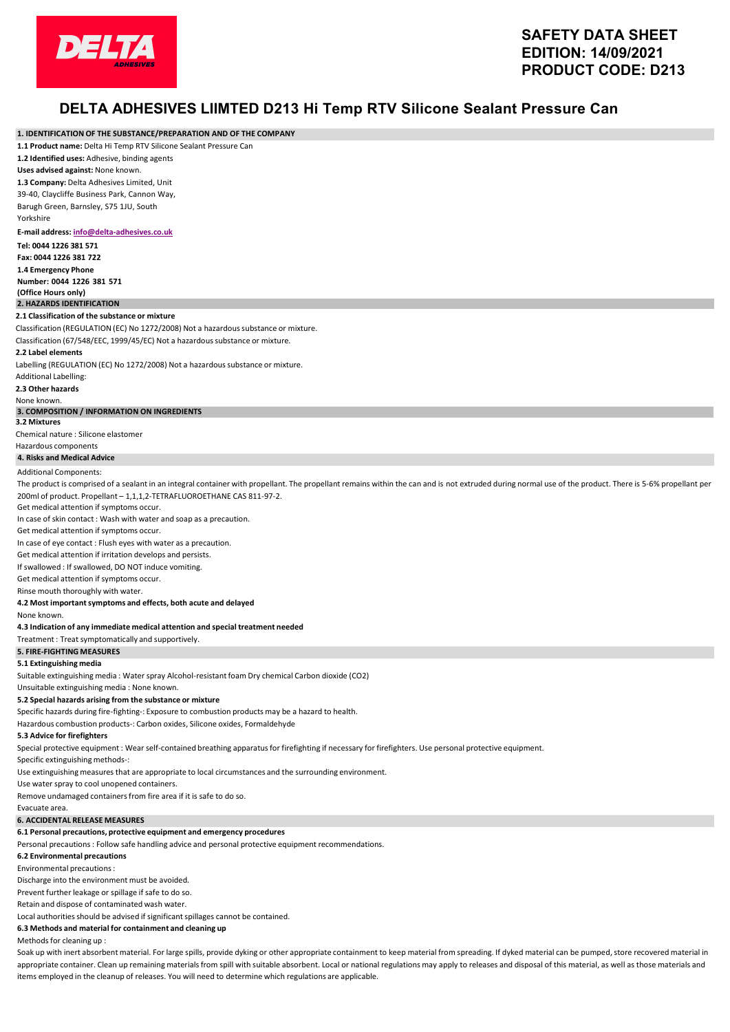

## **DELTA ADHESIVES LIIMTED D213 Hi Temp RTV Silicone Sealant Pressure Can**

| 1. IDENTIFICATION OF THE SUBSTANCE/PREPARATION AND OF THE COMPANY                                                                                                                                        |
|----------------------------------------------------------------------------------------------------------------------------------------------------------------------------------------------------------|
| 1.1 Product name: Delta Hi Temp RTV Silicone Sealant Pressure Can                                                                                                                                        |
| 1.2 Identified uses: Adhesive, binding agents                                                                                                                                                            |
| Uses advised against: None known.                                                                                                                                                                        |
| 1.3 Company: Delta Adhesives Limited, Unit                                                                                                                                                               |
| 39-40, Claycliffe Business Park, Cannon Way,                                                                                                                                                             |
| Barugh Green, Barnsley, S75 1JU, South<br>Yorkshire                                                                                                                                                      |
|                                                                                                                                                                                                          |
| E-mail address: info@delta-adhesives.co.uk                                                                                                                                                               |
| Tel: 0044 1226 381 571<br>Fax: 0044 1226 381 722                                                                                                                                                         |
| 1.4 Emergency Phone                                                                                                                                                                                      |
| Number: 0044 1226 381 571                                                                                                                                                                                |
| (Office Hours only)                                                                                                                                                                                      |
| 2. HAZARDS IDENTIFICATION                                                                                                                                                                                |
| 2.1 Classification of the substance or mixture                                                                                                                                                           |
| Classification (REGULATION (EC) No 1272/2008) Not a hazardous substance or mixture.                                                                                                                      |
| Classification (67/548/EEC, 1999/45/EC) Not a hazardous substance or mixture.                                                                                                                            |
| 2.2 Label elements                                                                                                                                                                                       |
| Labelling (REGULATION (EC) No 1272/2008) Not a hazardous substance or mixture.                                                                                                                           |
| Additional Labelling:                                                                                                                                                                                    |
| 2.3 Other hazards<br>None known.                                                                                                                                                                         |
| 3. COMPOSITION / INFORMATION ON INGREDIENTS                                                                                                                                                              |
| 3.2 Mixtures                                                                                                                                                                                             |
| Chemical nature : Silicone elastomer                                                                                                                                                                     |
| Hazardous components                                                                                                                                                                                     |
| 4. Risks and Medical Advice                                                                                                                                                                              |
| <b>Additional Components:</b>                                                                                                                                                                            |
| The product is comprised of a sealant in an integral container with propellant. The propellant remains within the can and is not extruded during normal use of the product. There is 5-6% propellant per |
| 200ml of product. Propellant - 1,1,1,2-TETRAFLUOROETHANE CAS 811-97-2.                                                                                                                                   |
| Get medical attention if symptoms occur.                                                                                                                                                                 |
| In case of skin contact: Wash with water and soap as a precaution.<br>Get medical attention if symptoms occur.                                                                                           |
| In case of eye contact: Flush eyes with water as a precaution.                                                                                                                                           |
| Get medical attention if irritation develops and persists.                                                                                                                                               |
| If swallowed : If swallowed, DO NOT induce vomiting.                                                                                                                                                     |
| Get medical attention if symptoms occur.                                                                                                                                                                 |
| Rinse mouth thoroughly with water.                                                                                                                                                                       |
| 4.2 Most important symptoms and effects, both acute and delayed                                                                                                                                          |
| None known.                                                                                                                                                                                              |
| 4.3 Indication of any immediate medical attention and special treatment needed                                                                                                                           |
| Treatment: Treat symptomatically and supportively.                                                                                                                                                       |
| <b>5. FIRE-FIGHTING MEASURES</b>                                                                                                                                                                         |
| 5.1 Extinguishing media                                                                                                                                                                                  |
| Suitable extinguishing media: Water spray Alcohol-resistant foam Dry chemical Carbon dioxide (CO2)                                                                                                       |
| Unsuitable extinguishing media: None known.                                                                                                                                                              |
| 5.2 Special hazards arising from the substance or mixture<br>Specific hazards during fire-fighting-: Exposure to combustion products may be a hazard to health.                                          |
| Hazardous combustion products-: Carbon oxides, Silicone oxides, Formaldehyde                                                                                                                             |
| 5.3 Advice for firefighters                                                                                                                                                                              |
| Special protective equipment : Wear self-contained breathing apparatus for firefighting if necessary for firefighters. Use personal protective equipment.                                                |
| Specific extinguishing methods-:                                                                                                                                                                         |
| Use extinguishing measures that are appropriate to local circumstances and the surrounding environment.                                                                                                  |
| Use water spray to cool unopened containers.                                                                                                                                                             |
| Remove undamaged containers from fire area if it is safe to do so.                                                                                                                                       |
| Evacuate area.                                                                                                                                                                                           |
| <b>6. ACCIDENTAL RELEASE MEASURES</b>                                                                                                                                                                    |
| 6.1 Personal precautions, protective equipment and emergency procedures                                                                                                                                  |
| Personal precautions : Follow safe handling advice and personal protective equipment recommendations.                                                                                                    |
| 6.2 Environmental precautions                                                                                                                                                                            |
| Environmental precautions :                                                                                                                                                                              |
| Discharge into the environment must be avoided.                                                                                                                                                          |
| Prevent further leakage or spillage if safe to do so.<br>Retain and dispose of contaminated wash water.                                                                                                  |
| Local authorities should be advised if significant spillages cannot be contained.                                                                                                                        |
|                                                                                                                                                                                                          |

Methods for cleaning up :

Soak up with inert absorbent material. For large spills, provide dyking or other appropriate containment to keep material from spreading. If dyked material can be pumped, store recovered material in appropriate container. Clean up remaining materials from spill with suitable absorbent. Local or national regulations may apply to releases and disposal of this material, as well as those materials and items employed in the cleanup of releases. You will need to determine which regulations are applicable.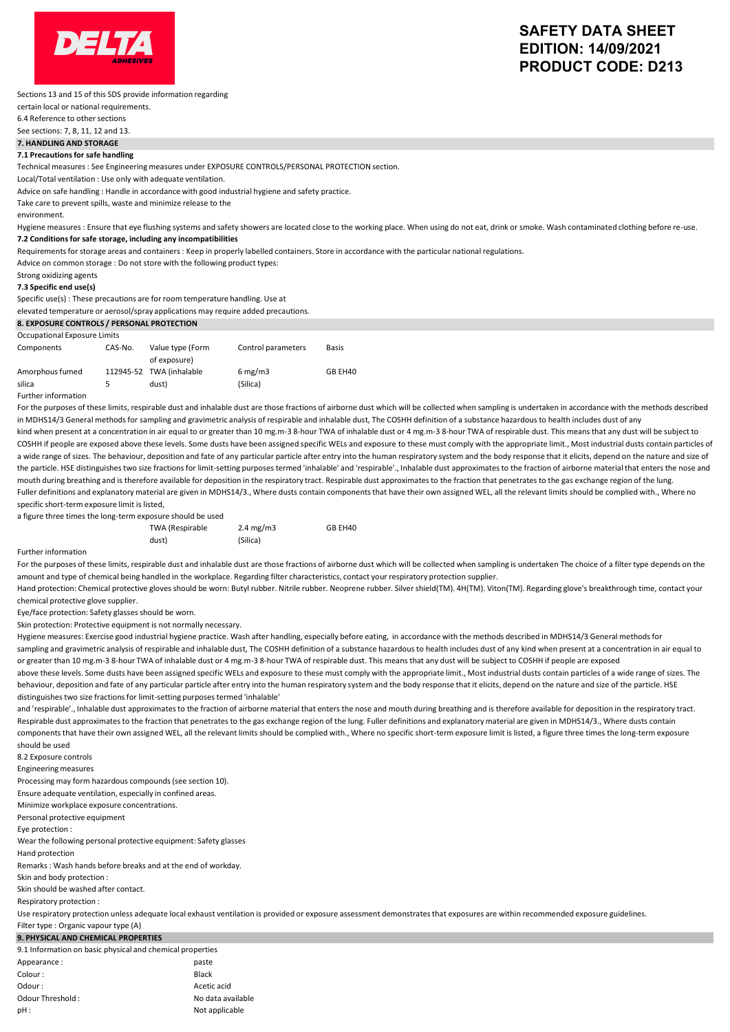

## **SAFETY DATA SHEET EDITION: 14/09/2021 PRODUCT CODE: D213**

Sections 13 and 15 of this SDS provide information regarding

certain local or national requirements.

6.4 Reference to other sections

See sections: 7, 8, 11, 12 and 13.

**7. HANDLING AND STORAGE**

**7.1 Precautions for safe handling** 

Technical measures : See Engineering measures under EXPOSURE CONTROLS/PERSONAL PROTECTION section.

Local/Total ventilation : Use only with adequate ventilation.

Advice on safe handling : Handle in accordance with good industrial hygiene and safety practice.

Take care to prevent spills, waste and minimize release to the environment.

Hygiene measures : Ensure that eye flushing systems and safety showers are located close to the working place. When using do not eat, drink or smoke. Wash contaminated clothing before re-use. **7.2 Conditionsfor safe storage, including any incompatibilities**

Requirements for storage areas and containers : Keep in properly labelled containers. Store in accordance with the particular national regulations.

Advice on common storage : Do not store with the following product types:

Strong oxidizing agents

#### **7.3 Specific end use(s)**

Specific use(s) : These precautions are for room temperature handling. Use at

elevated temperature or aerosol/spray applications may require added precautions.

| 8. EXPOSURE CONTROLS / PERSONAL PROTECTION |         |                                   |                                |         |
|--------------------------------------------|---------|-----------------------------------|--------------------------------|---------|
| Occupational Exposure Limits               |         |                                   |                                |         |
| Components                                 | CAS-No. | Value type (Form<br>of exposure)  | Control parameters             | Basis   |
| Amorphous fumed<br>silica                  |         | 112945-52 TWA (inhalable<br>dust) | $6 \text{ mg/m}$ 3<br>(Silica) | GB EH40 |

Further information

For the purposes of these limits, respirable dust and inhalable dust are those fractions of airborne dust which will be collected when sampling is undertaken in accordance with the methods described in MDHS14/3 General methods for sampling and gravimetric analysis of respirable and inhalable dust, The COSHH definition of a substance hazardous to health includes dust of any kind when present at a concentration in air equal to or greater than 10 mg.m-3 8-hour TWA of inhalable dust or 4 mg.m-3 8-hour TWA of respirable dust. This means that any dust will be subject to COSHH if people are exposed above these levels. Some dusts have been assigned specific WELs and exposure to these must comply with the appropriate limit., Most industrial dusts contain particles of a wide range of sizes. The behaviour, deposition and fate of any particular particle after entry into the human respiratory system and the body response that it elicits, depend on the nature and size of the particle. HSE distinguishes two size fractions for limit-setting purposes termed 'inhalable' and 'respirable'., Inhalable dust approximates to the fraction of airborne material that enters the nose and mouth during breathing and is therefore available for deposition in the respiratory tract. Respirable dust approximates to the fraction that penetrates to the gas exchange region of the lung. Fuller definitions and explanatory material are given in MDHS14/3., Where dusts contain components that have their own assigned WEL, all the relevant limits should be complied with., Where no specific short-term exposure limit is listed,

a figure three times the long-term exposure should be used

| c times the long-term exposare should be ased |                 |             |         |
|-----------------------------------------------|-----------------|-------------|---------|
|                                               | TWA (Respirable | 2.4 $mg/m3$ | GB EH40 |
|                                               | dust)           | (Silica)    |         |

#### Further information

For the purposes of these limits, respirable dust and inhalable dust are those fractions of airborne dust which will be collected when sampling is undertaken The choice of a filter type depends on the amount and type of chemical being handled in the workplace. Regarding filter characteristics, contact your respiratory protection supplier.

Hand protection: Chemical protective gloves should be worn: Butyl rubber. Nitrile rubber. Neoprene rubber. Silver shield(TM). 4H(TM). Viton(TM). Regarding glove's breakthrough time, contact your chemical protective glove supplier.

Eye/face protection: Safety glasses should be worn.

Skin protection: Protective equipment is not normally necessary.

Hygiene measures: Exercise good industrial hygiene practice. Wash after handling, especially before eating, in accordance with the methods described in MDHS14/3 General methods for sampling and gravimetric analysis of respirable and inhalable dust, The COSHH definition of a substance hazardous to health includes dust of any kind when present at a concentration in air equal to or greater than 10 mg.m-3 8-hour TWA of inhalable dust or 4 mg.m-3 8-hour TWA of respirable dust. This means that any dust will be subject to COSHH if people are exposed

above these levels. Some dusts have been assigned specific WELs and exposure to these must comply with the appropriate limit., Most industrial dusts contain particles of a wide range of sizes. The behaviour, deposition and fate of any particular particle after entry into the human respiratory system and the body response that it elicits, depend on the nature and size of the particle. HSE distinguishes two size fractions for limit-setting purposes termed 'inhalable'

and 'respirable'., Inhalable dust approximates to the fraction of airborne material that enters the nose and mouth during breathing and is therefore available for deposition in the respiratory tract. Respirable dust approximates to the fraction that penetrates to the gas exchange region of the lung. Fuller definitions and explanatory material are given in MDHS14/3., Where dusts contain components that have their own assigned WEL, all the relevant limits should be complied with., Where no specific short-term exposure limit is listed, a figure three times the long-term exposure should be used

8.2 Exposure controls

Engineering measures

Processing may form hazardous compounds(see section 10). 

Ensure adequate ventilation, especially in confined areas.

Minimize workplace exposure concentrations.

Personal protective equipment

Eye protection :

Wear the following personal protective equipment: Safety glasses

Hand protection

Remarks: Wash hands before breaks and at the end of workday.

Skin and body protection :

Skin should be washed after contact. 

Respiratory protection :

Use respiratory protection unless adequate local exhaust ventilation is provided or exposure assessment demonstrates that exposures are within recommended exposure guidelines.

### Filter type : Organic vapour type (A) **9. PHYSICAL AND CHEMICAL PROPERTIES**

9.1 Information on basic physical and chemical properties

| Appearance:      | paste             |
|------------------|-------------------|
| Colour:          | Black             |
| Odour:           | Acetic acid       |
| Odour Threshold: | No data available |
| pH:              | Not applicable    |
|                  |                   |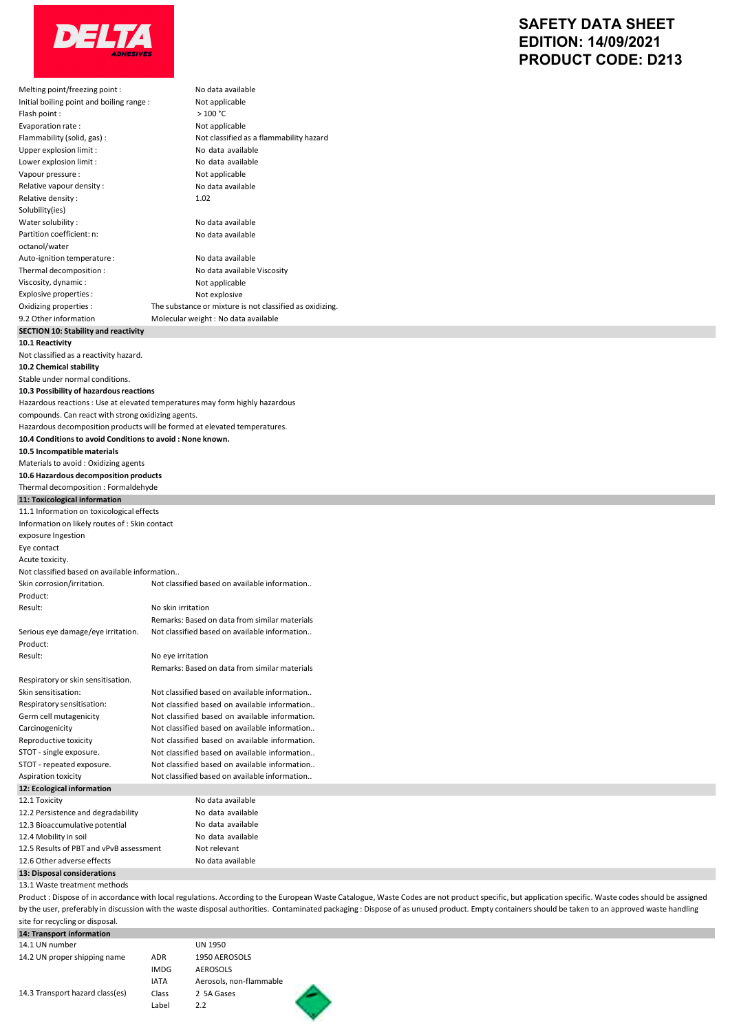

# **SAFETY DATA SHEET EDITION: 14/09/2021 PRODUCT CODE: D213**

| Melting point/freezing point :                                                                                                         |                    | No data available                                                                                                                                                                                    |
|----------------------------------------------------------------------------------------------------------------------------------------|--------------------|------------------------------------------------------------------------------------------------------------------------------------------------------------------------------------------------------|
| Initial boiling point and boiling range :                                                                                              |                    | Not applicable                                                                                                                                                                                       |
| Flash point:                                                                                                                           |                    | >100 °C                                                                                                                                                                                              |
| Evaporation rate:                                                                                                                      |                    | Not applicable                                                                                                                                                                                       |
| Flammability (solid, gas) :<br>Upper explosion limit :                                                                                 |                    | Not classified as a flammability hazard<br>No data available                                                                                                                                         |
| Lower explosion limit :                                                                                                                |                    | No data available                                                                                                                                                                                    |
| Vapour pressure :                                                                                                                      |                    | Not applicable                                                                                                                                                                                       |
| Relative vapour density :                                                                                                              |                    | No data available                                                                                                                                                                                    |
| Relative density:                                                                                                                      |                    | 1.02                                                                                                                                                                                                 |
| Solubility(ies)                                                                                                                        |                    |                                                                                                                                                                                                      |
| Water solubility:<br>Partition coefficient: n:                                                                                         |                    | No data available<br>No data available                                                                                                                                                               |
| octanol/water                                                                                                                          |                    |                                                                                                                                                                                                      |
| Auto-ignition temperature :                                                                                                            |                    | No data available                                                                                                                                                                                    |
| Thermal decomposition :                                                                                                                |                    | No data available Viscosity                                                                                                                                                                          |
| Viscosity, dynamic:                                                                                                                    |                    | Not applicable                                                                                                                                                                                       |
| Explosive properties :                                                                                                                 |                    | Not explosive                                                                                                                                                                                        |
| Oxidizing properties :                                                                                                                 |                    | The substance or mixture is not classified as oxidizing.                                                                                                                                             |
| 9.2 Other information                                                                                                                  |                    | Molecular weight : No data available                                                                                                                                                                 |
| <b>SECTION 10: Stability and reactivity</b><br>10.1 Reactivity                                                                         |                    |                                                                                                                                                                                                      |
| Not classified as a reactivity hazard.                                                                                                 |                    |                                                                                                                                                                                                      |
| 10.2 Chemical stability                                                                                                                |                    |                                                                                                                                                                                                      |
| Stable under normal conditions.                                                                                                        |                    |                                                                                                                                                                                                      |
| 10.3 Possibility of hazardous reactions                                                                                                |                    |                                                                                                                                                                                                      |
| Hazardous reactions : Use at elevated temperatures may form highly hazardous                                                           |                    |                                                                                                                                                                                                      |
| compounds. Can react with strong oxidizing agents.                                                                                     |                    |                                                                                                                                                                                                      |
| Hazardous decomposition products will be formed at elevated temperatures.<br>10.4 Conditions to avoid Conditions to avoid: None known. |                    |                                                                                                                                                                                                      |
| 10.5 Incompatible materials                                                                                                            |                    |                                                                                                                                                                                                      |
| Materials to avoid: Oxidizing agents                                                                                                   |                    |                                                                                                                                                                                                      |
| 10.6 Hazardous decomposition products                                                                                                  |                    |                                                                                                                                                                                                      |
| Thermal decomposition: Formaldehyde                                                                                                    |                    |                                                                                                                                                                                                      |
| 11: Toxicological information                                                                                                          |                    |                                                                                                                                                                                                      |
| 11.1 Information on toxicological effects                                                                                              |                    |                                                                                                                                                                                                      |
| Information on likely routes of : Skin contact                                                                                         |                    |                                                                                                                                                                                                      |
| exposure Ingestion<br>Eye contact                                                                                                      |                    |                                                                                                                                                                                                      |
| Acute toxicity.                                                                                                                        |                    |                                                                                                                                                                                                      |
| Not classified based on available information                                                                                          |                    |                                                                                                                                                                                                      |
| Skin corrosion/irritation.                                                                                                             |                    | Not classified based on available information                                                                                                                                                        |
| Product:                                                                                                                               |                    |                                                                                                                                                                                                      |
| Result:                                                                                                                                | No skin irritation |                                                                                                                                                                                                      |
|                                                                                                                                        |                    | Remarks: Based on data from similar materials                                                                                                                                                        |
| Serious eye damage/eye irritation.                                                                                                     |                    | Not classified based on available information                                                                                                                                                        |
| Product:<br>Result:                                                                                                                    | No eye irritation  |                                                                                                                                                                                                      |
|                                                                                                                                        |                    | Remarks: Based on data from similar materials                                                                                                                                                        |
| Respiratory or skin sensitisation.                                                                                                     |                    |                                                                                                                                                                                                      |
| Skin sensitisation:                                                                                                                    |                    | Not classified based on available information                                                                                                                                                        |
| Respiratory sensitisation:                                                                                                             |                    | Not classified based on available information                                                                                                                                                        |
| Germ cell mutagenicity                                                                                                                 |                    | Not classified based on available information.                                                                                                                                                       |
| Carcinogenicity                                                                                                                        |                    | Not classified based on available information                                                                                                                                                        |
| Reproductive toxicity<br>STOT - single exposure.                                                                                       |                    | Not classified based on available information.<br>Not classified based on available information                                                                                                      |
| STOT - repeated exposure.                                                                                                              |                    | Not classified based on available information                                                                                                                                                        |
| Aspiration toxicity                                                                                                                    |                    | Not classified based on available information                                                                                                                                                        |
| 12: Ecological information                                                                                                             |                    |                                                                                                                                                                                                      |
| 12.1 Toxicity                                                                                                                          |                    | No data available                                                                                                                                                                                    |
| 12.2 Persistence and degradability                                                                                                     |                    | No data available                                                                                                                                                                                    |
| 12.3 Bioaccumulative potential                                                                                                         |                    | No data available                                                                                                                                                                                    |
| 12.4 Mobility in soil<br>12.5 Results of PBT and vPvB assessment                                                                       |                    | No data available<br>Not relevant                                                                                                                                                                    |
| 12.6 Other adverse effects                                                                                                             |                    | No data available                                                                                                                                                                                    |
| 13: Disposal considerations                                                                                                            |                    |                                                                                                                                                                                                      |
| 13.1 Waste treatment methods                                                                                                           |                    |                                                                                                                                                                                                      |
|                                                                                                                                        |                    | Product : Dispose of in accordance with local regulations. According to the European Waste Catalogue, Waste Codes are not product specific, but application specific. Waste codes should be assigned |
|                                                                                                                                        |                    | by the user, preferably in discussion with the waste disposal authorities. Contaminated packaging: Dispose of as unused product. Empty containers should be taken to an approved waste handling      |
| site for recycling or disposal.                                                                                                        |                    |                                                                                                                                                                                                      |
| 14: Transport information<br>14.1 UN number                                                                                            |                    | <b>UN 1950</b>                                                                                                                                                                                       |
| 14.2 UN proper shipping name                                                                                                           | ADR                | 1950 AEROSOLS                                                                                                                                                                                        |

14.3 Transport hazard class(es)

AEROSOLS Aerosols, non-flammable 2 5A Gases 2.2 IMDG IATA Class Label